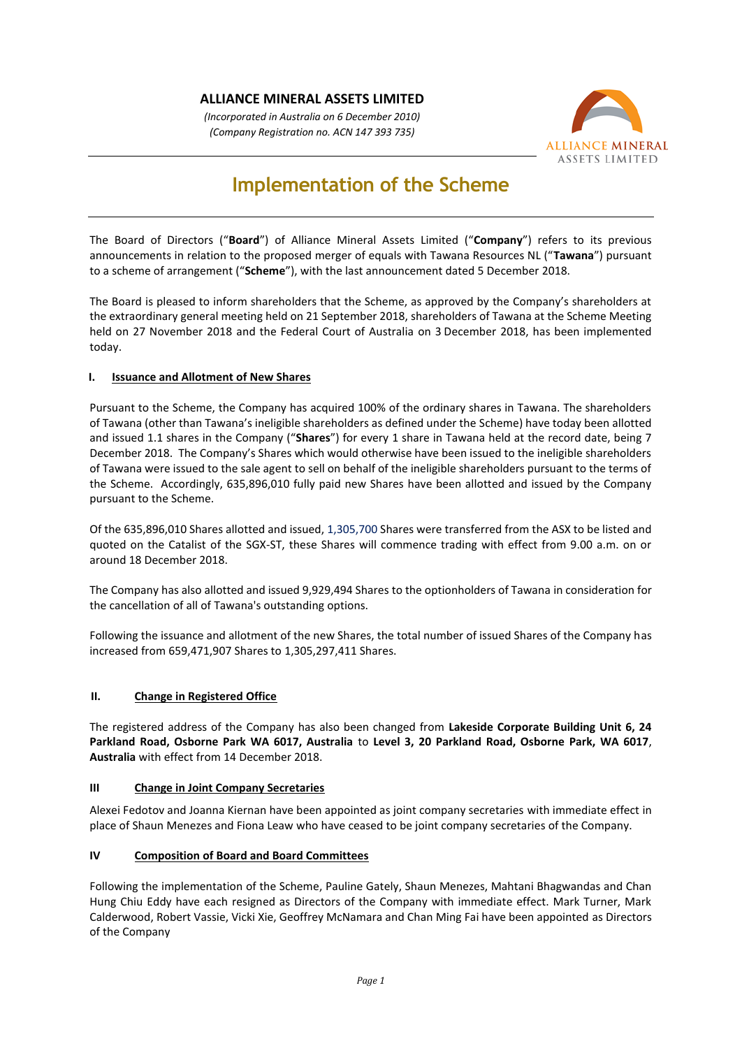## **ALLIANCE MINERAL ASSETS LIMITED**

*(Incorporated in Australia on 6 December 2010) (Company Registration no. ACN 147 393 735)*



# **Implementation of the Scheme**

The Board of Directors ("**Board**") of Alliance Mineral Assets Limited ("**Company**") refers to its previous announcements in relation to the proposed merger of equals with Tawana Resources NL ("**Tawana**") pursuant to a scheme of arrangement ("**Scheme**"), with the last announcement dated 5 December 2018.

The Board is pleased to inform shareholders that the Scheme, as approved by the Company's shareholders at the extraordinary general meeting held on 21 September 2018, shareholders of Tawana at the Scheme Meeting held on 27 November 2018 and the Federal Court of Australia on 3 December 2018, has been implemented today.

## **I. Issuance and Allotment of New Shares**

Pursuant to the Scheme, the Company has acquired 100% of the ordinary shares in Tawana. The shareholders of Tawana (other than Tawana's ineligible shareholders as defined under the Scheme) have today been allotted and issued 1.1 shares in the Company ("**Shares**") for every 1 share in Tawana held at the record date, being 7 December 2018. The Company's Shares which would otherwise have been issued to the ineligible shareholders of Tawana were issued to the sale agent to sell on behalf of the ineligible shareholders pursuant to the terms of the Scheme. Accordingly, 635,896,010 fully paid new Shares have been allotted and issued by the Company pursuant to the Scheme.

Of the 635,896,010 Shares allotted and issued, 1,305,700 Shares were transferred from the ASX to be listed and quoted on the Catalist of the SGX-ST, these Shares will commence trading with effect from 9.00 a.m. on or around 18 December 2018.

The Company has also allotted and issued 9,929,494 Shares to the optionholders of Tawana in consideration for the cancellation of all of Tawana's outstanding options.

Following the issuance and allotment of the new Shares, the total number of issued Shares of the Company has increased from 659,471,907 Shares to 1,305,297,411 Shares.

## **II. Change in Registered Office**

The registered address of the Company has also been changed from **Lakeside Corporate Building Unit 6, 24 Parkland Road, Osborne Park WA 6017, Australia** to **Level 3, 20 Parkland Road, Osborne Park, WA 6017**, **Australia** with effect from 14 December 2018.

#### **III Change in Joint Company Secretaries**

Alexei Fedotov and Joanna Kiernan have been appointed as joint company secretaries with immediate effect in place of Shaun Menezes and Fiona Leaw who have ceased to be joint company secretaries of the Company.

## **IV Composition of Board and Board Committees**

Following the implementation of the Scheme, Pauline Gately, Shaun Menezes, Mahtani Bhagwandas and Chan Hung Chiu Eddy have each resigned as Directors of the Company with immediate effect. Mark Turner, Mark Calderwood, Robert Vassie, Vicki Xie, Geoffrey McNamara and Chan Ming Fai have been appointed as Directors of the Company